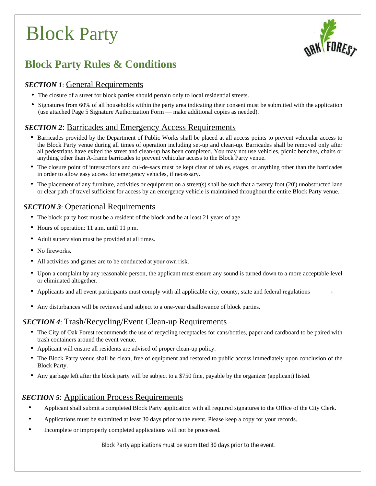

## **Block Party Rules & Conditions**

### *SECTION 1*: General Requirements

- The closure of a street for block parties should pertain only to local residential streets.
- Signatures from 60% of all households within the party area indicating their consent must be submitted with the application (use attached Page 5 Signature Authorization Form — make additional copies as needed).

### *SECTION 2:* Barricades and Emergency Access Requirements

- Barricades provided by the Department of Public Works shall be placed at all access points to prevent vehicular access to the Block Party venue during all times of operation including set-up and clean-up. Barricades shall be removed only after all pedestrians have exited the street and clean-up has been completed. You may not use vehicles, picnic benches, chairs or anything other than A-frame barricades to prevent vehicular access to the Block Party venue.
- The closure point of intersections and cul-de-sacs must be kept clear of tables, stages, or anything other than the barricades in order to allow easy access for emergency vehicles, if necessary.
- The placement of any furniture, activities or equipment on a street(s) shall be such that a twenty foot (20') unobstructed lane or clear path of travel sufficient for access by an emergency vehicle is maintained throughout the entire Block Party venue.

### *SECTION 3*: Operational Requirements

- The block party host must be a resident of the block and be at least 21 years of age.
- Hours of operation: 11 a.m. until 11 p.m.
- Adult supervision must be provided at all times.
- No fireworks.
- All activities and games are to be conducted at your own risk.
- Upon a complaint by any reasonable person, the applicant must ensure any sound is turned down to a more acceptable level or eliminated altogether.
- Applicants and all event participants must comply with all applicable city, county, state and federal regulations
- Any disturbances will be reviewed and subject to a one-year disallowance of block parties.

### *SECTION 4*: Trash/Recycling/Event Clean-up Requirements

- The City of Oak Forest recommends the use of recycling receptacles for cans/bottles, paper and cardboard to be paired with trash containers around the event venue.
- Applicant will ensure all residents are advised of proper clean-up policy.
- The Block Party venue shall be clean, free of equipment and restored to public access immediately upon conclusion of the Block Party.
- Any garbage left after the block party will be subject to a \$750 fine, payable by the organizer (applicant) listed.

#### *SECTION 5:* Application Process Requirements

- Applicant shall submit a completed Block Party application with all required signatures to the Office of the City Clerk.
- Applications must be submitted at least 30 days prior to the event. Please keep a copy for your records.
- Incomplete or improperly completed applications will not be processed.

*Block Party applications must be submitted 30 days prior to the event.*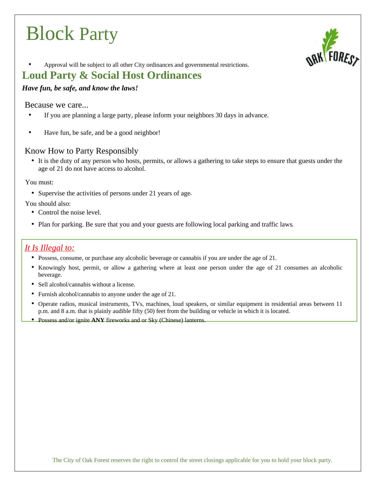

• Approval will be subject to all other City ordinances and governmental restrictions.

## **Loud Party & Social Host Ordinances**

#### *Have fun, be safe, and know the laws!*

#### Because we care...

- If you are planning a large party, please inform your neighbors 30 days in advance.
- Have fun, be safe, and be a good neighbor!

#### Know How to Party Responsibly

• It is the duty of any person who hosts, permits, or allows a gathering to take steps to ensure that guests under the age of 21 do not have access to alcohol.

You must:

• Supervise the activities of persons under 21 years of age.

You should also:

- Control the noise level.
- Plan for parking. Be sure that you and your guests are following local parking and traffic laws.

### *It Is Illegal to:*

- Possess, consume, or purchase any alcoholic beverage or cannabis if you are under the age of 21.
- Knowingly host, permit, or allow a gathering where at least one person under the age of 21 consumes an alcoholic beverage.
- Sell alcohol/cannabis without a license.
- Furnish alcohol/cannabis to anyone under the age of 21.
- Operate radios, musical instruments, TVs, machines, loud speakers, or similar equipment in residential areas between 11 p.m. and 8 a.m. that is plainly audible fifty (50) feet from the building or vehicle in which it is located.
- Possess and/or ignite **ANY** fireworks and or Sky (Chinese) lanterns.

The City of Oak Forest reserves the right to control the street closings applicable for you to hold your block party.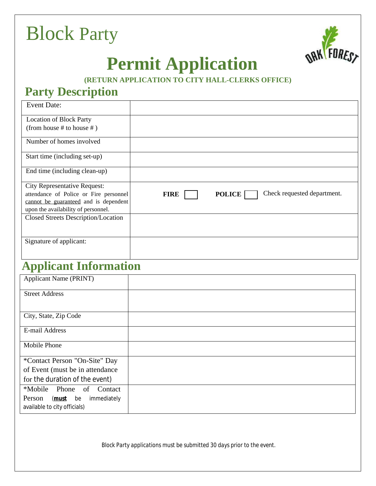

# **Permit Application**

## **(RETURN APPLICATION TO CITY HALL-CLERKS OFFICE)**

## **Party Description**

| <b>Event Date:</b>                     |                                                             |
|----------------------------------------|-------------------------------------------------------------|
| <b>Location of Block Party</b>         |                                                             |
| (from house # to house #)              |                                                             |
| Number of homes involved               |                                                             |
| Start time (including set-up)          |                                                             |
| End time (including clean-up)          |                                                             |
| <b>City Representative Request:</b>    |                                                             |
| attendance of Police or Fire personnel | Check requested department.<br><b>POLICE</b><br><b>FIRE</b> |
| cannot be guaranteed and is dependent  |                                                             |
| upon the availability of personnel.    |                                                             |
| Closed Streets Description/Location    |                                                             |
|                                        |                                                             |
| Signature of applicant:                |                                                             |
|                                        |                                                             |

# **Applicant Information**

| <b>Applicant Name (PRINT)</b>                                             |  |
|---------------------------------------------------------------------------|--|
| <b>Street Address</b>                                                     |  |
|                                                                           |  |
| City, State, Zip Code                                                     |  |
| E-mail Address                                                            |  |
| Mobile Phone                                                              |  |
| *Contact Person "On-Site" Day                                             |  |
| of Event (must be in attendance                                           |  |
| for the duration of the event)                                            |  |
| *Mobile Phone of Contact                                                  |  |
| Person<br>( <b>must</b> be<br>immediately<br>available to city officials) |  |

*Block Party applications must be submitted 30 days prior to the event.*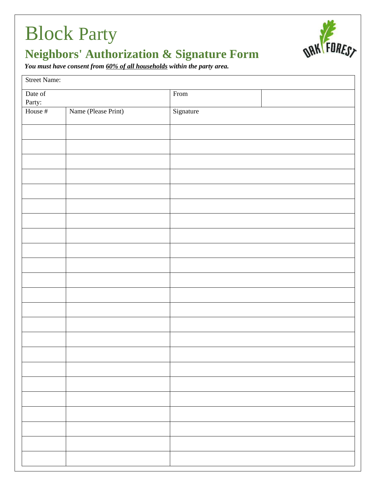

# **Neighbors' Authorization & Signature Form**

*You must have consent from 60% of all households within the party area.*

| <b>Street Name:</b> |                     |           |  |  |
|---------------------|---------------------|-----------|--|--|
| Date of<br>Party:   |                     | From      |  |  |
| House #             | Name (Please Print) | Signature |  |  |
|                     |                     |           |  |  |
|                     |                     |           |  |  |
|                     |                     |           |  |  |
|                     |                     |           |  |  |
|                     |                     |           |  |  |
|                     |                     |           |  |  |
|                     |                     |           |  |  |
|                     |                     |           |  |  |
|                     |                     |           |  |  |
|                     |                     |           |  |  |
|                     |                     |           |  |  |
|                     |                     |           |  |  |
|                     |                     |           |  |  |
|                     |                     |           |  |  |
|                     |                     |           |  |  |
|                     |                     |           |  |  |
|                     |                     |           |  |  |
|                     |                     |           |  |  |
|                     |                     |           |  |  |
|                     |                     |           |  |  |
|                     |                     |           |  |  |
|                     |                     |           |  |  |
|                     |                     |           |  |  |
|                     |                     |           |  |  |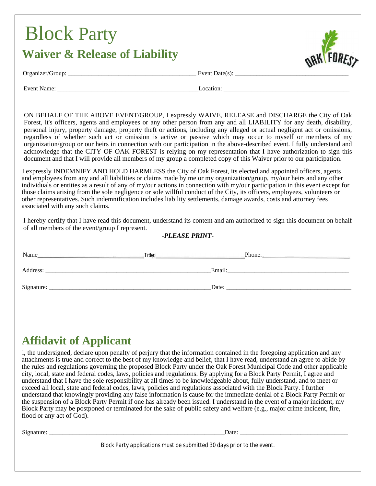# Block Party **Waiver & Release of Liability**



Organizer/Group: \_\_\_\_\_\_\_\_\_\_\_\_\_\_\_\_\_\_\_\_\_\_\_\_\_\_\_\_\_\_\_\_\_\_\_\_\_\_ Event Date(s): \_\_\_\_\_\_\_\_\_\_\_\_\_\_\_\_\_\_\_\_\_\_\_\_\_\_\_\_\_\_\_\_\_\_\_\_\_

Event Name: \_\_\_\_\_\_\_\_\_\_\_\_\_\_\_\_\_\_\_\_\_\_\_\_\_\_\_\_\_\_\_\_\_\_\_\_\_\_\_\_\_\_\_\_\_\_Location: \_\_\_\_\_\_\_\_\_\_\_\_\_\_\_\_\_\_\_\_\_\_\_\_\_\_\_\_\_\_\_\_\_\_\_\_\_\_\_\_\_

ON BEHALF OF THE ABOVE EVENT/GROUP, I expressly WAIVE, RELEASE and DISCHARGE the City of Oak Forest, it's officers, agents and employees or any other person from any and all LIABILITY for any death, disability, personal injury, property damage, property theft or actions, including any alleged or actual negligent act or omissions, regardless of whether such act or omission is active or passive which may occur to myself or members of my organization/group or our heirs in connection with our participation in the above-described event. I fully understand and acknowledge that the CITY OF OAK FOREST is relying on my representation that I have authorization to sign this document and that I will provide all members of my group a completed copy of this Waiver prior to our participation.

I expressly INDEMNIFY AND HOLD HARMLESS the City of Oak Forest, its elected and appointed officers, agents and employees from any and all liabilities or claims made by me or my organization/group, my/our heirs and any other individuals or entities as a result of any of my/our actions in connection with my/our participation in this event except for those claims arising from the sole negligence or sole willful conduct of the City, its officers, employees, volunteers or other representatives. Such indemnification includes liability settlements, damage awards, costs and attorney fees associated with any such claims.

I hereby certify that I have read this document, understand its content and am authorized to sign this document on behalf of all members of the event/group I represent.

#### *-PLEASE PRINT-*

| Name       | Title: | Phone: |
|------------|--------|--------|
| Address:   | Email: |        |
| Signature: | Date:  |        |

## **Affidavit of Applicant**

l, the undersigned, declare upon penalty of perjury that the information contained in the foregoing application and any attachments is true and correct to the best of my knowledge and belief, that I have read, understand an agree to abide by the rules and regulations governing the proposed Block Party under the Oak Forest Municipal Code and other applicable city, local, state and federal codes, laws, policies and regulations. By applying for a Block Party Permit, I agree and understand that I have the sole responsibility at all times to be knowledgeable about, fully understand, and to meet or exceed all local, state and federal codes, laws, policies and regulations associated with the Block Party. I further understand that knowingly providing any false information is cause for the immediate denial of a Block Party Permit or the suspension of a Block Party Permit if one has already been issued. I understand in the event of a major incident, my Block Party may be postponed or terminated for the sake of public safety and welfare (e.g., major crime incident, fire, flood or any act of God).

Signature: \_\_\_\_\_\_\_\_\_\_\_\_\_\_\_\_\_\_\_\_\_\_\_\_\_\_\_\_\_\_\_\_\_\_\_\_\_\_\_\_\_\_\_\_\_\_\_\_\_\_\_\_Date: \_\_\_\_\_\_\_\_\_\_\_\_\_\_\_\_\_\_\_\_\_\_\_\_\_\_\_\_\_\_\_\_

*Block Party applications must be submitted 30 days prior to the event.*